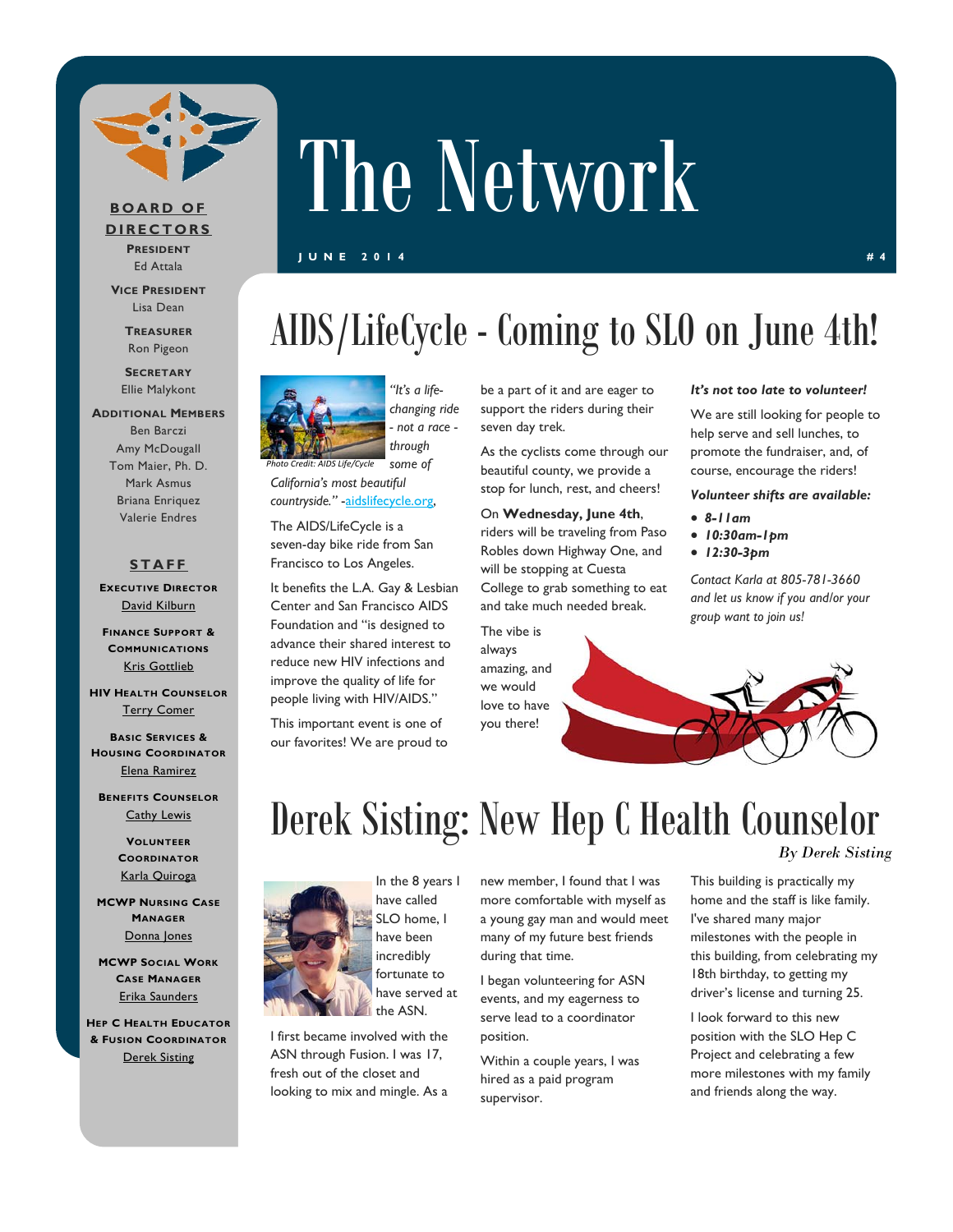

### **BOARD OF**

**DIRECTORS PRESIDENT** Ed Attala

**VICE PRESIDENT** Lisa Dean

> **TREASURER** Ron Pigeon

**SECRETARY** Ellie Malykont

### **ADDITIONAL MEMBERS** Ben Barczi Amy McDougall Tom Maier, Ph. D. Mark Asmus Briana Enriquez Valerie Endres

### **STAFF**

**EXECUTIVE DIRECTOR** David Kilburn

**FINANCE SUPPORT & COMMUNICATIONS** Kris Gottlieb

**HIV HEALTH COUNSELOR** Terry Comer

**BASIC SERVICES & HOUSING COORDINATOR** Elena Ramirez

**BENEFITS COUNSELOR** Cathy Lewis

> **VOLUNTEER COORDINATOR** Karla Quiroga

**MCWP NURSING CASE MANAGER** Donna Jones

**MCWP SOCIAL WORK CASE MANAGER** Erika Saunders

**HEP C HEALTH EDUCATOR & FUSION COORDINATOR** Derek Sisting

## AIDS/LifeCycle - Coming to SLO on June 4th!

The Network



*"It's a lifechanging ride - not a race through* 

### *California's most beautiful countryside."* -aidslifecycle.org,

The AIDS/LifeCycle is a seven-day bike ride from San Francisco to Los Angeles.

It benefits the L.A. Gay & Lesbian Center and San Francisco AIDS Foundation and "is designed to advance their shared interest to reduce new HIV infections and improve the quality of life for people living with HIV/AIDS."

This important event is one of our favorites! We are proud to be a part of it and are eager to support the riders during their seven day trek.

As the cyclists come through our beautiful county, we provide a stop for lunch, rest, and cheers!

### On **Wednesday, June 4th**,

riders will be traveling from Paso Robles down Highway One, and will be stopping at Cuesta College to grab something to eat and take much needed break.

The vibe is always amazing, and we would love to have you there!

#### *It's not too late to volunteer!*

We are still looking for people to help serve and sell lunches, to promote the fundraiser, and, of course, encourage the riders!

### *Volunteer shifts are available:*

- *8-11am*
- *10:30am-1pm*
- *12:30-3pm*

*Contact Karla at 805-781-3660 and let us know if you and/or your group want to join us!* 

### Derek Sisting: New Hep C Health Counselor *By Derek Sisting*



I first became involved with the ASN through Fusion. I was 17, fresh out of the closet and looking to mix and mingle. As a new member, I found that I was more comfortable with myself as a young gay man and would meet many of my future best friends during that time.

I began volunteering for ASN events, and my eagerness to serve lead to a coordinator position.

Within a couple years, I was hired as a paid program supervisor.

This building is practically my home and the staff is like family. I've shared many major milestones with the people in this building, from celebrating my 18th birthday, to getting my driver's license and turning 25.

I look forward to this new position with the SLO Hep C Project and celebrating a few more milestones with my family and friends along the way.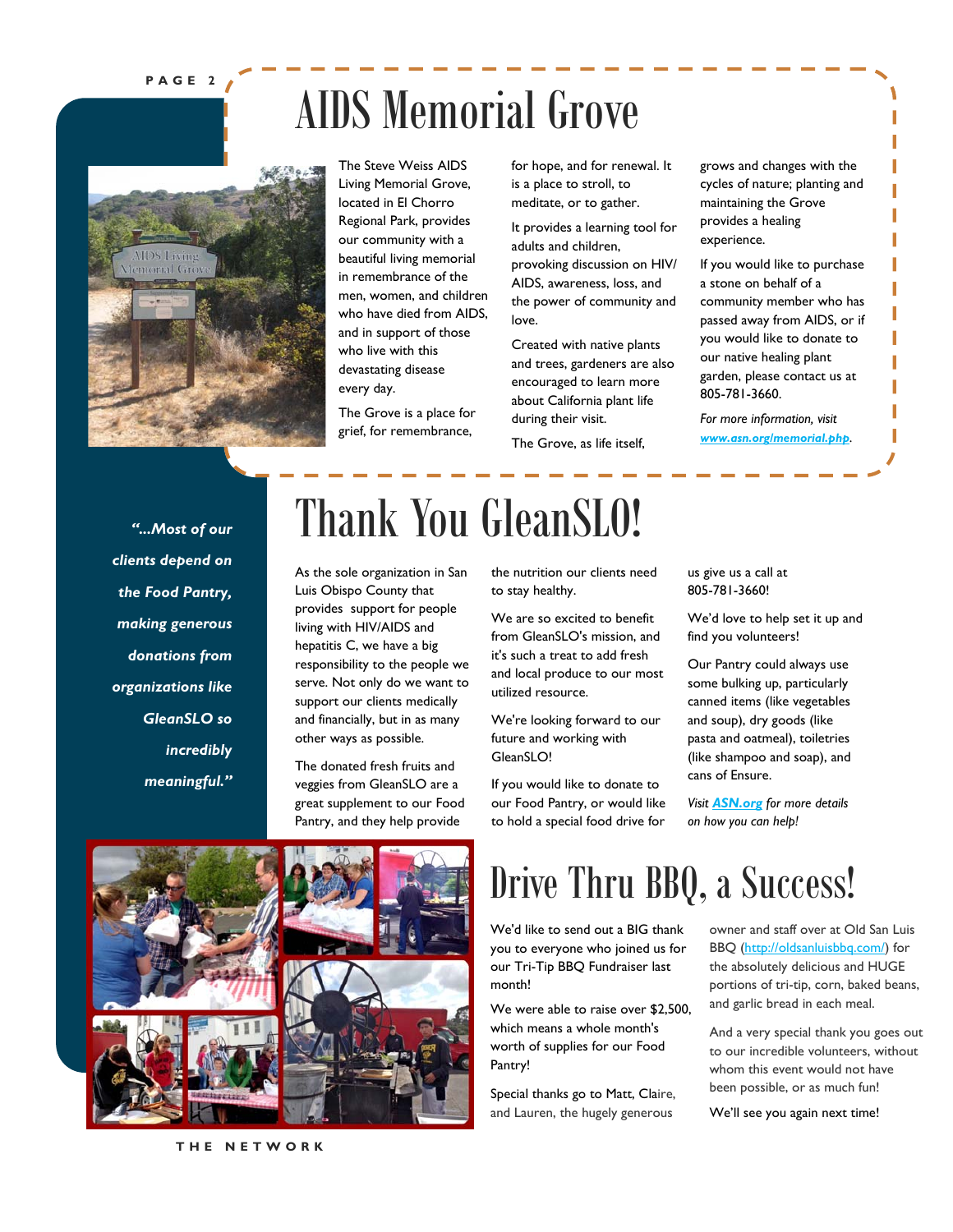### **PAGE 2**

## AIDS Memorial Grove



The Steve Weiss AIDS Living Memorial Grove, located in El Chorro Regional Park, provides our community with a beautiful living memorial in remembrance of the men, women, and children who have died from AIDS, and in support of those who live with this devastating disease every day.

The Grove is a place for grief, for remembrance,

for hope, and for renewal. It is a place to stroll, to meditate, or to gather.

It provides a learning tool for adults and children, provoking discussion on HIV/ AIDS, awareness, loss, and the power of community and love.

Created with native plants and trees, gardeners are also encouraged to learn more about California plant life during their visit.

The Grove, as life itself,

grows and changes with the cycles of nature; planting and maintaining the Grove provides a healing experience.

If you would like to purchase a stone on behalf of a community member who has passed away from AIDS, or if you would like to donate to our native healing plant garden, please contact us at 805-781-3660.

*For more information, visit www.asn.org/memorial.php.* 

*"...Most of our clients depend on the Food Pantry, making generous donations from organizations like GleanSLO so incredibly meaningful."* 

## Thank You GleanSLO!

As the sole organization in San Luis Obispo County that provides support for people living with HIV/AIDS and hepatitis C, we have a big responsibility to the people we serve. Not only do we want to support our clients medically and financially, but in as many other ways as possible.

The donated fresh fruits and veggies from GleanSLO are a great supplement to our Food Pantry, and they help provide

the nutrition our clients need to stay healthy.

We are so excited to benefit from GleanSLO's mission, and it's such a treat to add fresh and local produce to our most utilized resource.

We're looking forward to our future and working with GleanSLO!

If you would like to donate to our Food Pantry, or would like to hold a special food drive for

us give us a call at 805-781-3660!

We'd love to help set it up and find you volunteers!

Our Pantry could always use some bulking up, particularly canned items (like vegetables and soup), dry goods (like pasta and oatmeal), toiletries (like shampoo and soap), and cans of Ensure.

*Visit ASN.org for more details on how you can help!*



### Drive Thru BBQ, a Success!

We'd like to send out a BIG thank you to everyone who joined us for our Tri-Tip BBQ Fundraiser last month!

We were able to raise over \$2,500, which means a whole month's worth of supplies for our Food Pantry!

Special thanks go to Matt, Claire, and Lauren, the hugely generous

owner and staff over at Old San Luis BBQ (http://oldsanluisbbq.com/) for the absolutely delicious and HUGE portions of tri-tip, corn, baked beans, and garlic bread in each meal.

And a very special thank you goes out to our incredible volunteers, without whom this event would not have been possible, or as much fun!

We'll see you again next time!

**THE NETWORK**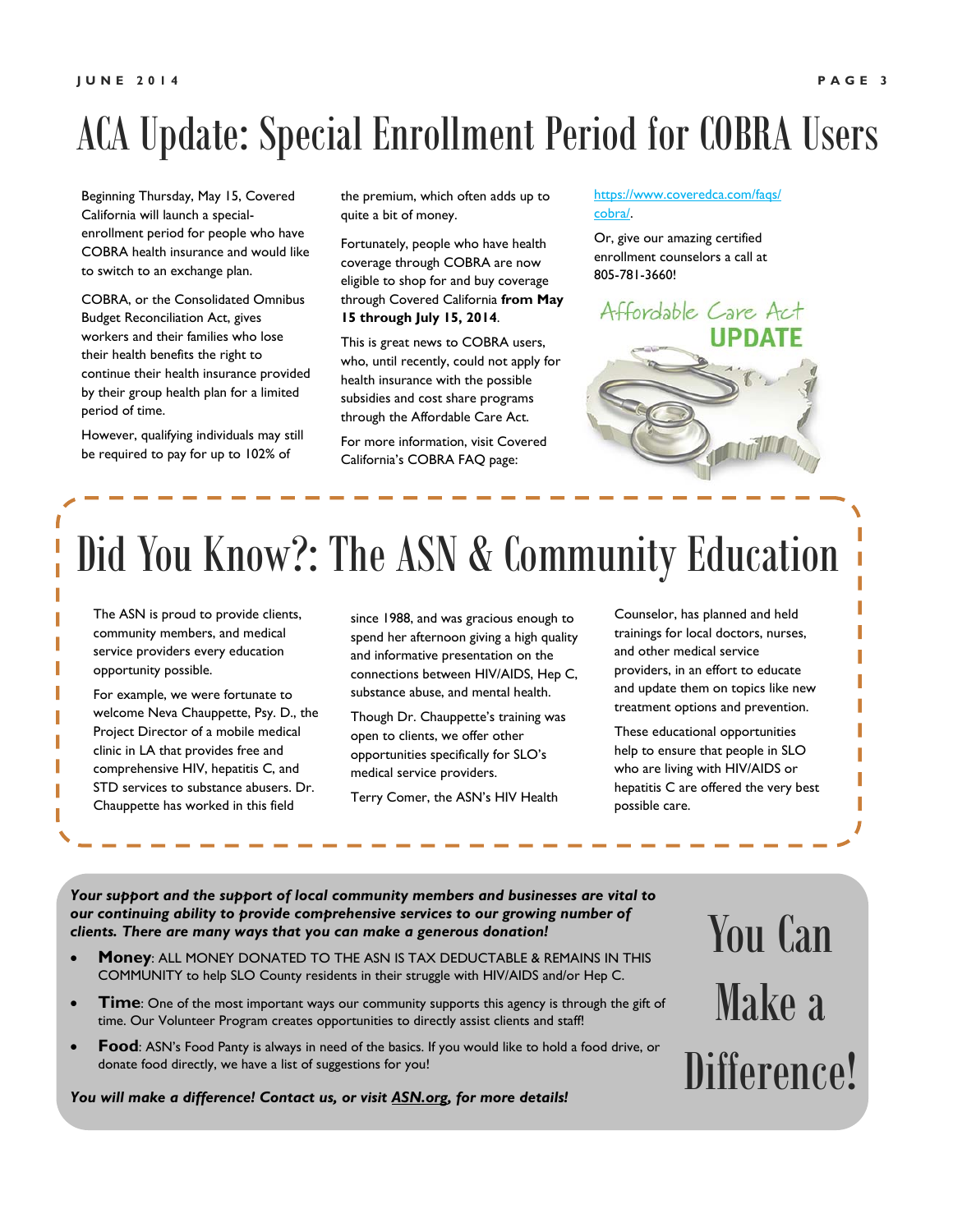## ACA Update: Special Enrollment Period for COBRA Users

Beginning Thursday, May 15, Covered California will launch a specialenrollment period for people who have COBRA health insurance and would like to switch to an exchange plan.

COBRA, or the Consolidated Omnibus Budget Reconciliation Act, gives workers and their families who lose their health benefits the right to continue their health insurance provided by their group health plan for a limited period of time.

However, qualifying individuals may still be required to pay for up to 102% of

the premium, which often adds up to quite a bit of money.

Fortunately, people who have health coverage through COBRA are now eligible to shop for and buy coverage through Covered California **from May 15 through July 15, 2014**.

This is great news to COBRA users, who, until recently, could not apply for health insurance with the possible subsidies and cost share programs through the Affordable Care Act.

For more information, visit Covered California's COBRA FAQ page:

https://www.coveredca.com/faqs/ cobra/.

Or, give our amazing certified enrollment counselors a call at 805-781-3660!

Affordable Care Act **UPDATE** 

## Did You Know?: The ASN & Community Education

The ASN is proud to provide clients, community members, and medical service providers every education opportunity possible.

For example, we were fortunate to welcome Neva Chauppette, Psy. D., the Project Director of a mobile medical clinic in LA that provides free and comprehensive HIV, hepatitis C, and STD services to substance abusers. Dr. Chauppette has worked in this field

since 1988, and was gracious enough to spend her afternoon giving a high quality and informative presentation on the connections between HIV/AIDS, Hep C, substance abuse, and mental health.

Though Dr. Chauppette's training was open to clients, we offer other opportunities specifically for SLO's medical service providers.

Terry Comer, the ASN's HIV Health

Counselor, has planned and held trainings for local doctors, nurses, and other medical service providers, in an effort to educate and update them on topics like new treatment options and prevention.

These educational opportunities help to ensure that people in SLO who are living with HIV/AIDS or hepatitis C are offered the very best possible care.

*Your support and the support of local community members and businesses are vital to our continuing ability to provide comprehensive services to our growing number of clients. There are many ways that you can make a generous donation!* 

- **Money**: ALL MONEY DONATED TO THE ASN IS TAX DEDUCTABLE & REMAINS IN THIS COMMUNITY to help SLO County residents in their struggle with HIV/AIDS and/or Hep C.
- **Time**: One of the most important ways our community supports this agency is through the gift of time. Our Volunteer Program creates opportunities to directly assist clients and staff!
- **Food:** ASN's Food Panty is always in need of the basics. If you would like to hold a food drive, or donate food directly, we have a list of suggestions for you!

*You will make a difference! Contact us, or visit ASN.org, for more details!* 

# You Can Make a Difference!

Г ī Г

Ī

Г